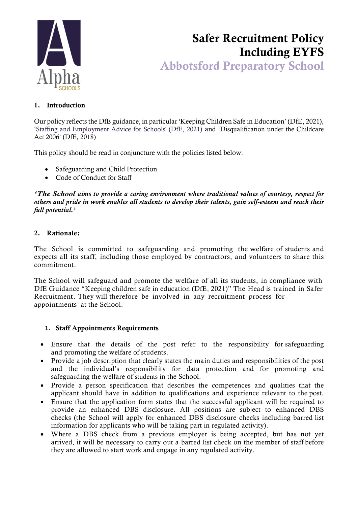

# Safer Recruitment Policy Including EYFS Abbotsford Preparatory School

### 1. Introduction

Our policy reflects the DfE guidance, in particular 'Keeping Children Safe in Education' (DfE, 2021), 'Staffing and Employment Advice for Schools' (DfE, 2021) and 'Disqualification under the Childcare Act 2006' (DfE, 2018)

This policy should be read in conjuncture with the policies listed below:

- Safeguarding and Child Protection
- Code of Conduct for Staff

*'The School aims to provide a caring environment where traditional values of courtesy, respect for others and pride in work enables all students to develop their talents, gain self-esteem and reach their full potential.'*

### 2. Rationale:

The School is committed to safeguarding and promoting the welfare of students and expects all its staff, including those employed by contractors, and volunteers to share this commitment.

The School will safeguard and promote the welfare of all its students, in compliance with DfE Guidance "Keeping children safe in education (DfE, 2021)" The Head is trained in Safer Recruitment. They will therefore be involved in any recruitment process for appointments at the School.

### **1.** Staff Appointments Requirements

- Ensure that the details of the post refer to the responsibility for safeguarding and promoting the welfare of students.
- Provide a job description that clearly states the main duties and responsibilities of the post and the individual's responsibility for data protection and for promoting and safeguarding the welfare of students in the School.
- Provide a person specification that describes the competences and qualities that the applicant should have in addition to qualifications and experience relevant to the post.
- Ensure that the application form states that the successful applicant will be required to provide an enhanced DBS disclosure. All positions are subject to enhanced DBS checks (the School will apply for enhanced DBS disclosure checks including barred list information for applicants who will be taking part in regulated activity).
- Where a DBS check from a previous employer is being accepted, but has not yet arrived, it will be necessary to carry out a barred list check on the member of staff before they are allowed to start work and engage in any regulated activity.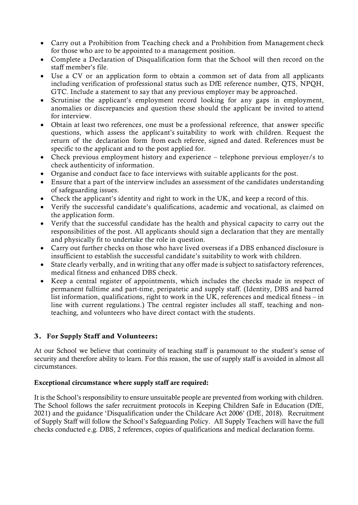- Carry out a Prohibition from Teaching check and a Prohibition from Management check for those who are to be appointed to a management position.
- Complete a Declaration of Disqualification form that the School will then record on the staff member's file.
- Use a CV or an application form to obtain a common set of data from all applicants including verification of professional status such as DfE reference number, QTS, NPQH, GTC. Include a statement to say that any previous employer may be approached.
- Scrutinise the applicant's employment record looking for any gaps in employment, anomalies or discrepancies and question these should the applicant be invited to attend for interview.
- Obtain at least two references, one must be a professional reference, that answer specific questions, which assess the applicant's suitability to work with children. Request the return of the declaration form from each referee, signed and dated. References must be specific to the applicant and to the post applied for.
- Check previous employment history and experience telephone previous employer/s to check authenticity of information.
- Organise and conduct face to face interviews with suitable applicants for the post.
- Ensure that a part of the interview includes an assessment of the candidates understanding of safeguarding issues.
- Check the applicant's identity and right to work in the UK, and keep a record of this.
- Verify the successful candidate's qualifications, academic and vocational, as claimed on the application form.
- Verify that the successful candidate has the health and physical capacity to carry out the responsibilities of the post. All applicants should sign a declaration that they are mentally and physically fit to undertake the role in question.
- Carry out further checks on those who have lived overseas if a DBS enhanced disclosure is insufficient to establish the successful candidate's suitability to work with children.
- State clearly verbally, and in writing that any offer made is subject to satisfactory references, medical fitness and enhanced DBS check.
- Keep a central register of appointments, which includes the checks made in respect of permanent fulltime and part-time, peripatetic and supply staff. (Identity, DBS and barred list information, qualifications, right to work in the UK, references and medical fitness – in line with current regulations.) The central register includes all staff, teaching and nonteaching, and volunteers who have direct contact with the students.

# 3. For Supply Staff and Volunteers:

At our School we believe that continuity of teaching staff is paramount to the student's sense of security and therefore ability to learn. For this reason, the use of supply staff is avoided in almost all circumstances.

### Exceptional circumstance where supply staff are required:

It is the School's responsibility to ensure unsuitable people are prevented from working with children. The School follows the safer recruitment protocols in Keeping Children Safe in Education (DfE, 2021) and the guidance 'Disqualification under the Childcare Act 2006' (DfE, 2018). Recruitment of Supply Staff will follow the School's Safeguarding Policy. All Supply Teachers will have the full checks conducted e.g. DBS, 2 references, copies of qualifications and medical declaration forms.